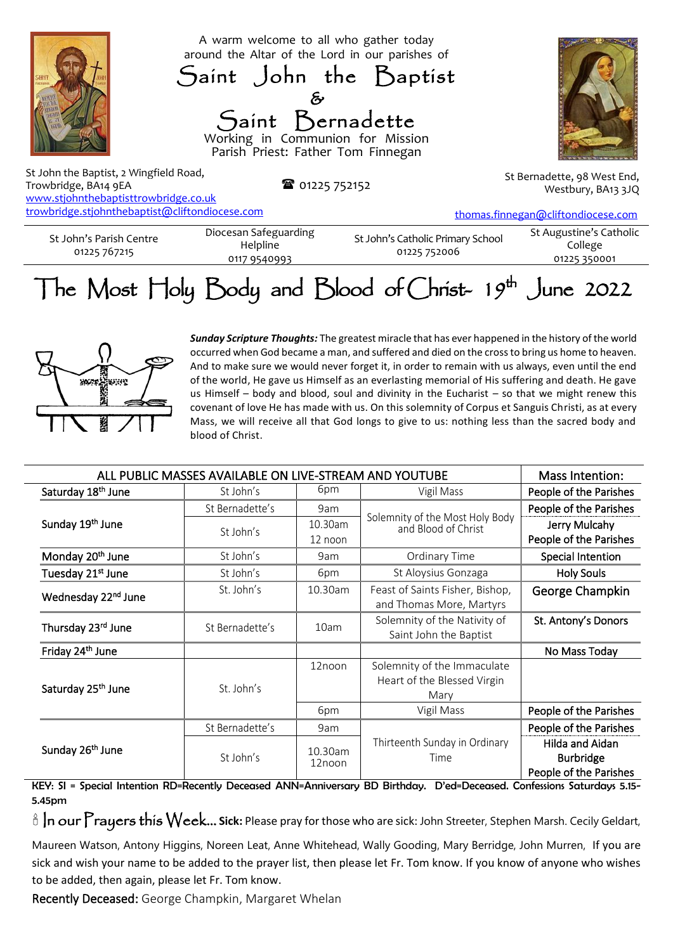

www.stjohnthebaptisttrowbridge.co.uk [trowbridge.stjohnthebaptist@cliftondiocese.com](about:blank)

[thomas.finnegan@cliftondiocese.com](about:blank)

St John's Parish Centre 01225 767215 Diocesan Safeguarding Helpline 0117 9540993 St John's Catholic Primary School 01225 752006

St Augustine's Catholic College 01225 350001

## The Most Holy Body and Blood of Christ- 19<sup>th</sup> June 2022



*Sunday Scripture Thoughts:* The greatest miracle that has ever happened in the history of the world occurred when God became a man, and suffered and died on the cross to bring us home to heaven. And to make sure we would never forget it, in order to remain with us always, even until the end of the world, He gave us Himself as an everlasting memorial of His suffering and death. He gave us Himself – body and blood, soul and divinity in the Eucharist – so that we might renew this covenant of love He has made with us. On this solemnity of Corpus et Sanguis Christi, as at every Mass, we will receive all that God longs to give to us: nothing less than the sacred body and blood of Christ.

| ALL PUBLIC MASSES AVAILABLE ON LIVE-STREAM AND YOUTUBE |                 |                   |                                                        | Mass Intention:        |
|--------------------------------------------------------|-----------------|-------------------|--------------------------------------------------------|------------------------|
| Saturday 18 <sup>th</sup> June                         | St John's       | 6pm               | Vigil Mass                                             | People of the Parishes |
| Sunday 19 <sup>th</sup> June                           | St Bernadette's | 9am               | Solemnity of the Most Holy Body<br>and Blood of Christ | People of the Parishes |
|                                                        | St John's       | 10.30am           |                                                        | Jerry Mulcahy          |
|                                                        |                 | 12 noon           |                                                        | People of the Parishes |
| Monday 20 <sup>th</sup> June                           | St John's       | 9am               | Ordinary Time                                          | Special Intention      |
| Tuesday 21 <sup>st</sup> June                          | St John's       | 6pm               | St Aloysius Gonzaga                                    | <b>Holy Souls</b>      |
| Wednesday 22 <sup>nd</sup> June                        | St. John's      | 10.30am           | Feast of Saints Fisher, Bishop,                        | George Champkin        |
|                                                        |                 |                   | and Thomas More, Martyrs                               |                        |
| Thursday 23rd June                                     | St Bernadette's | 10am              | Solemnity of the Nativity of                           | St. Antony's Donors    |
|                                                        |                 |                   | Saint John the Baptist                                 |                        |
| Friday 24 <sup>th</sup> June                           |                 |                   |                                                        | No Mass Today          |
| Saturday 25 <sup>th</sup> June                         | St. John's      | 12noon            | Solemnity of the Immaculate                            |                        |
|                                                        |                 |                   | Heart of the Blessed Virgin                            |                        |
|                                                        |                 |                   | Mary                                                   |                        |
|                                                        |                 | 6pm               | Vigil Mass                                             | People of the Parishes |
| Sunday 26 <sup>th</sup> June                           | St Bernadette's | 9am               |                                                        | People of the Parishes |
|                                                        | St John's       | 10.30am<br>12noon | Thirteenth Sunday in Ordinary                          | Hilda and Aidan        |
|                                                        |                 |                   | Time                                                   | <b>Burbridge</b>       |
|                                                        |                 |                   |                                                        | People of the Parishes |

KEY: SI = Special Intention RD=Recently Deceased ANN=Anniversary BD Birthday. D'ed=Deceased. Confessions Saturdays 5.15- 5.45pm

In our Prayers this Week... **Sick:** Please pray for those who are sick: John Streeter, Stephen Marsh. Cecily Geldart,

Maureen Watson, Antony Higgins, Noreen Leat, Anne Whitehead, Wally Gooding, Mary Berridge, John Murren, If you are sick and wish your name to be added to the prayer list, then please let Fr. Tom know. If you know of anyone who wishes to be added, then again, please let Fr. Tom know.

Recently Deceased: George Champkin, Margaret Whelan